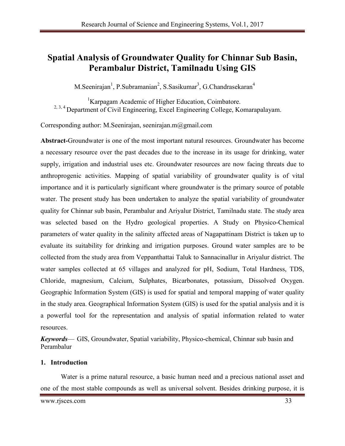# **Spatial Analysis of Groundwater Quality for Chinnar Sub Basin, Perambalur District, Tamilnadu Using GIS**

M.Seenirajan<sup>1</sup>, P.Subramanian<sup>2</sup>, S.Sasikumar<sup>3</sup>, G.Chandrasekaran<sup>4</sup>

<sup>1</sup>Karpagam Academic of Higher Education, Coimbatore. <sup>2, 3, 4</sup> Department of Civil Engineering, Excel Engineering College, Komarapalayam.

Corresponding author: M.Seenirajan, seenirajan.m@gmail.com

**Abstract-**Groundwater is one of the most important natural resources. Groundwater has become a necessary resource over the past decades due to the increase in its usage for drinking, water supply, irrigation and industrial uses etc. Groundwater resources are now facing threats due to anthroprogenic activities. Mapping of spatial variability of groundwater quality is of vital importance and it is particularly significant where groundwater is the primary source of potable water. The present study has been undertaken to analyze the spatial variability of groundwater quality for Chinnar sub basin, Perambalur and Ariyalur District, Tamilnadu state. The study area was selected based on the Hydro geological properties. A Study on Physico-Chemical parameters of water quality in the salinity affected areas of Nagapattinam District is taken up to evaluate its suitability for drinking and irrigation purposes. Ground water samples are to be collected from the study area from Veppanthattai Taluk to Sannacinallur in Ariyalur district. The water samples collected at 65 villages and analyzed for pH, Sodium, Total Hardness, TDS, Chloride, magnesium, Calcium, Sulphates, Bicarbonates, potassium, Dissolved Oxygen. Geographic Information System (GIS) is used for spatial and temporal mapping of water quality in the study area. Geographical Information System (GIS) is used for the spatial analysis and it is a powerful tool for the representation and analysis of spatial information related to water resources.

*Keywords*— GIS, Groundwater, Spatial variability, Physico-chemical, Chinnar sub basin and Perambalur

# **1. Introduction**

Water is a prime natural resource, a basic human need and a precious national asset and one of the most stable compounds as well as universal solvent. Besides drinking purpose, it is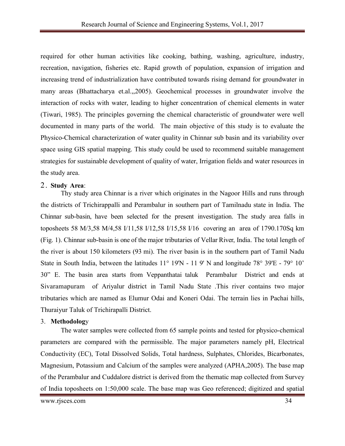required for other human activities like cooking, bathing, washing, agriculture, industry, recreation, navigation, fisheries etc. Rapid growth of population, expansion of irrigation and increasing trend of industrialization have contributed towards rising demand for groundwater in many areas (Bhattacharya et.al.,,2005). Geochemical processes in groundwater involve the interaction of rocks with water, leading to higher concentration of chemical elements in water (Tiwari, 1985). The principles governing the chemical characteristic of groundwater were well documented in many parts of the world. The main objective of this study is to evaluate the Physico-Chemical characterization of water quality in Chinnar sub basin and its variability over space using GIS spatial mapping. This study could be used to recommend suitable management strategies for sustainable development of quality of water, Irrigation fields and water resources in the study area.

#### 2. **Study Area**:

Thy study area Chinnar is a river which originates in the Nagoor Hills and runs through the districts of Trichirappalli and Perambalur in southern part of Tamilnadu state in India. The Chinnar sub-basin, have been selected for the present investigation. The study area falls in toposheets 58 M/3,58 M/4,58 I/11,58 I/12,58 I/15,58 I/16 covering an area of 1790.170Sq km (Fig. 1). Chinnar sub-basin is one of the major tributaries of Vellar River, India. The total length of the river is about 150 kilometers (93 mi). The river basin is in the southern part of Tamil Nadu State in South India, between the latitudes 11° 19'N - 11 9' N and longitude 78° 39'E - 79° 10' 30" E. The basin area starts from Veppanthatai taluk Perambalur District and ends at Sivaramapuram of Ariyalur district in Tamil Nadu State .This river contains two major tributaries which are named as Elumur Odai and Koneri Odai. The terrain lies in Pachai hills, Thuraiyur Taluk of Trichirapalli District.

#### 3. **Methodolog**y

The water samples were collected from 65 sample points and tested for physico-chemical parameters are compared with the permissible. The major parameters namely pH, Electrical Conductivity (EC), Total Dissolved Solids, Total hardness, Sulphates, Chlorides, Bicarbonates, Magnesium, Potassium and Calcium of the samples were analyzed (APHA,2005). The base map of the Perambalur and Cuddalore district is derived from the thematic map collected from Survey of India toposheets on 1:50,000 scale. The base map was Geo referenced; digitized and spatial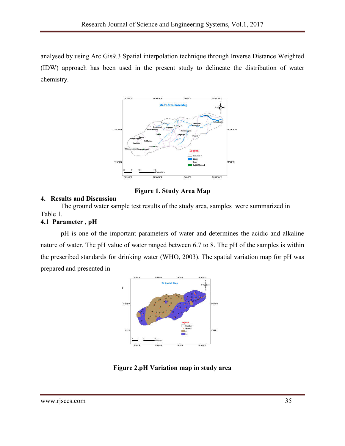analysed by using Arc Gis9.3 Spatial interpolation technique through Inverse Distance Weighted (IDW) approach has been used in the present study to delineate the distribution of water chemistry.



**Figure 1. Study Area Map**

# **4. Results and Discussion**

The ground water sample test results of the study area, samples were summarized in Table 1.

# **4.1 Parameter , pH**

pH is one of the important parameters of water and determines the acidic and alkaline nature of water. The pH value of water ranged between 6.7 to 8. The pH of the samples is within the prescribed standards for drinking water (WHO, 2003). The spatial variation map for pH was prepared and presented in



**Figure 2.pH Variation map in study area**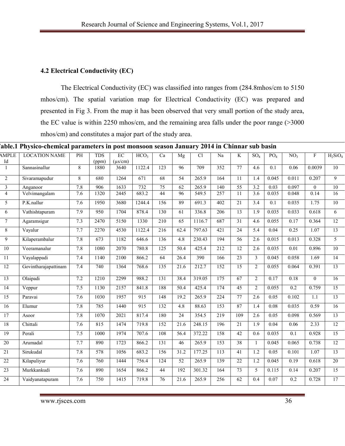# **4.2 Electrical Conductivity (EC)**

The Electrical Conductivity (EC) was classified into ranges from (284.8mhos/cm to 5150 mhos/cm). The spatial variation map for Electrical Conductivity (EC) was prepared and presented in Fig 3. From the map it has been observed that very small portion of the study area, the EC value is within 2250 mhos/cm, and the remaining area falls under the poor range (>3000 mhos/cm) and constitutes a major part of the study area.

| able.1 Physico-chemical parameters in post monsoon season January 2014 in Chinnar sub basin |                      |                |                     |                                 |                  |                  |                 |        |                  |                 |                  |                 |                 |                           |                 |
|---------------------------------------------------------------------------------------------|----------------------|----------------|---------------------|---------------------------------|------------------|------------------|-----------------|--------|------------------|-----------------|------------------|-----------------|-----------------|---------------------------|-----------------|
| AMPLE<br>Id                                                                                 | <b>LOCATION NAME</b> | PH             | <b>TDS</b><br>(ppm) | $\overline{EC}$<br>$(\mu s/cm)$ | HCO <sub>3</sub> | Ca               | Mg              | Cl     | Na               | K               | SO <sub>4</sub>  | PO <sub>4</sub> | NO <sub>3</sub> | $\boldsymbol{\mathrm{F}}$ | $H_2SiO_4$      |
| $\mathbf{1}$                                                                                | Sannasinallur        | 8              | 1880                | 3640                            | 1122.4           | 123              | 96              | 709    | 352              | 77              | 4.6              | 0.1             | 0.06            | 0.0039                    | 10              |
| $\overline{2}$                                                                              | Sivaramapudur        | $\overline{8}$ | 680                 | 1264                            | $\overline{671}$ | 68               | $\overline{54}$ | 265.9  | 164              | $\overline{11}$ | 1.4              | 0.045           | 0.011           | 0.207                     | $\overline{9}$  |
| $\mathfrak{Z}$                                                                              | Anganoor             | $7.8\,$        | 906                 | 1633                            | 732              | $75\,$           | 62              | 265.9  | 140              | $\overline{55}$ | 3.2              | 0.03            | 0.097           | $\mathbf{0}$              | $10\,$          |
| $\overline{4}$                                                                              | Velvimangalam        | 7.6            | 1320                | 2445                            | 683.2            | 44               | 96              | 549.5  | 257              | 11              | 3.6              | 0.035           | 0.048           | 0.14                      | 16              |
| $\overline{5}$                                                                              | P.K.nallur           | 7.6            | 1950                | 3680                            | 1244.4           | 156              | 89              | 691.3  | 402              | $\overline{21}$ | $\overline{3.4}$ | 0.1             | 0.035           | 1.75                      | 10              |
| $6\overline{6}$                                                                             | Vathishtapuram       | 7.9            | $\overline{950}$    | 1704                            | 878.4            | 130              | 61              | 336.8  | 206              | $\overline{13}$ | $\overline{1.9}$ | 0.035           | 0.033           | 0.618                     | $\overline{6}$  |
| $\overline{7}$                                                                              | Agaramsigur          | 7.3            | 2470                | 5150                            | 1330             | $\overline{210}$ | $\overline{65}$ | 1116.7 | 687              | $\overline{31}$ | 4.6              | 0.055           | 0.17            | 0.364                     | 12              |
| $\overline{8}$                                                                              | Vayalur              | 7.7            | 2270                | 4530                            | 1122.4           | 216              | 62.4            | 797.63 | 421              | 24              | 5.4              | 0.04            | 0.25            | 1.07                      | 13              |
| $\overline{9}$                                                                              | Kilaperambalur       | 7.8            | 673                 | 1182                            | 646.6            | 136              | 4.8             | 230.43 | 194              | $\overline{56}$ | 2.6              | 0.015           | 0.013           | 0.328                     | 5               |
| $10\,$                                                                                      | Veeramanalur         | 7.8            | 1080                | 2070                            | 780.8            | 125              | 50.4            | 425.4  | 212              | 12              | 2.6              | 0.035           | 0.01            | 0.896                     | $\overline{10}$ |
| $\overline{11}$                                                                             | Vayalappadi          | 7.4            | 1140                | 2100                            | 866.2            | 64               | 26.4            | 390    | 166              | 23              | $\overline{3}$   | 0.045           | 0.058           | 1.69                      | 14              |
| 12                                                                                          | Govintharajapattinam | 7.4            | 740                 | 1364                            | 768.6            | 135              | 21.6            | 212.7  | 152              | 15              | $\overline{2}$   | 0.055           | 0.064           | 0.391                     | 13              |
| $\overline{13}$                                                                             | Olaipadi             | 7.2            | 1210                | 2299                            | 988.2            | 131              | 38.4            | 319.05 | 175              | 67              | $\overline{c}$   | 0.17            | 0.18            | $\boldsymbol{0}$          | $\overline{16}$ |
| $\overline{14}$                                                                             | Veppur               | 7.5            | 1130                | 2157                            | 841.8            | 188              | 50.4            | 425.4  | 174              | 45              | $\overline{2}$   | 0.055           | 0.2             | 0.759                     | 15              |
| 15                                                                                          | Paravai              | 7.6            | 1030                | 1957                            | 915              | 148              | 19.2            | 265.9  | 224              | 77              | 2.6              | 0.05            | 0.102           | 1.1                       | 13              |
| 16                                                                                          | Elumur               | 7.8            | 785                 | 1440                            | $\overline{915}$ | $\overline{132}$ | 4.8             | 88.63  | 153              | 87              | 1.4              | 0.08            | 0.035           | 0.59                      | $\overline{16}$ |
| 17                                                                                          | Asoor                | 7.8            | 1070                | 2021                            | 817.4            | 180              | 24              | 354.5  | 219              | 109             | 2.6              | 0.05            | 0.098           | 0.569                     | 13              |
| $18\,$                                                                                      | Chittali             | 7.6            | 815                 | 1474                            | 719.8            | 152              | 21.6            | 248.15 | 196              | $\overline{21}$ | 1.9              | 0.04            | 0.06            | 2.33                      | $\overline{12}$ |
| $\overline{19}$                                                                             | Perali               | 7.5            | 1000                | 1974                            | 707.6            | 108              | 56.4            | 372.22 | 158              | 42              | 0.6              | 0.035           | 0.1             | 0.928                     | $\overline{15}$ |
| $\overline{20}$                                                                             | Arumadal             | 7.7            | 890                 | 1723                            | 866.2            | 131              | 46              | 265.9  | 153              | 38              | $\mathbf{1}$     | 0.045           | 0.065           | 0.738                     | 12              |
| $\overline{21}$                                                                             | Sirukudal            | 7.8            | $\overline{578}$    | 1056                            | 683.2            | 156              | 31.2            | 177.25 | $\overline{113}$ | $\overline{41}$ | 1.2              | 0.05            | 0.101           | 1.07                      | 13              |
| $\overline{22}$                                                                             | Kilapuliyur          | 7.6            | 760                 | 1444                            | 756.4            | 124              | $\overline{52}$ | 265.9  | 139              | $\overline{22}$ | $\overline{1.2}$ | 0.045           | 0.19            | 0.618                     | 20              |
| 23                                                                                          | Murkkankudi          | 7.6            | 890                 | 1654                            | 866.2            | 44               | 192             | 301.32 | 164              | 73              | 5                | 0.115           | 0.14            | 0.207                     | 15              |
| 24                                                                                          | Vaidyanatapuram      | 7.6            | 750                 | 1415                            | 719.8            | 76               | 21.6            | 265.9  | 256              | 62              | 0.4              | 0.07            | 0.2             | 0.728                     | 17              |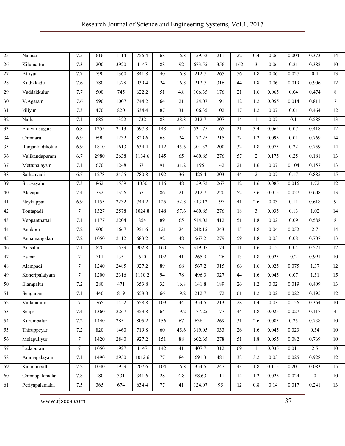| $\overline{25}$ | Nannai           | 7.5             | 616  | 1114 | 756.4  | 68               | 16.8            | 159.52 | 211              | 22               | 0.4              | 0.06              | 0.004             | 0.373          | 14              |
|-----------------|------------------|-----------------|------|------|--------|------------------|-----------------|--------|------------------|------------------|------------------|-------------------|-------------------|----------------|-----------------|
| $\overline{26}$ | Kilumattur       | 7.3             | 200  | 3920 | 1147   | 88               | $\overline{92}$ | 673.55 | 356              | $\overline{162}$ | $\overline{3}$   | 0.06              | 0.21              | 0.382          | 10              |
| $\overline{27}$ | Attiyur          | 7.7             | 790  | 1360 | 841.8  | 40               | 16.8            | 212.7  | 265              | 56               | 1.8              | 0.06              | 0.027             | 0.4            | 13              |
| $28\,$          | Kudikkadu        | 7.6             | 780  | 1328 | 939.4  | 24               | 16.8            | 212.7  | 316              | 44               | 1.8              | 0.06              | 0.019             | 0.906          | $\overline{12}$ |
| 29              | Vaddakkulur      | 7.7             | 500  | 745  | 622.2  | 51               | 4.8             | 106.35 | 176              | 21               | 1.6              | 0.065             | 0.04              | 0.474          | 8               |
| $\overline{30}$ | V.Agaram         | 7.6             | 590  | 1007 | 744.2  | 64               | $\overline{21}$ | 124.07 | 191              | $\overline{12}$  | 1.2              | 0.055             | 0.014             | 0.811          | $\overline{7}$  |
| $\overline{31}$ | kiliyur          | 7.3             | 470  | 820  | 634.4  | 87               | $\overline{31}$ | 106.35 | 102              | $\overline{17}$  | 1.2              | 0.07              | 0.01              | 0.464          | $\overline{12}$ |
| $\overline{32}$ | Nallur           | 7.1             | 685  | 1322 | 732    | 88               | 28.8            | 212.7  | 207              | 14               | $\mathbf{1}$     | 0.07              | 0.1               | 0.588          | 13              |
| $\overline{33}$ | Eraiyur sugars   | 6.8             | 1255 | 2413 | 597.8  | 148              | 62              | 531.75 | 165              | $\overline{21}$  | $\overline{3.4}$ | 0.065             | 0.07              | 0.418          | 12              |
| 34              | Chinnaru         | 6.9             | 690  | 1232 | 829.6  | 68               | $\overline{24}$ | 177.25 | 215              | 22               | 1.2              | 0.095             | $\overline{0.01}$ | 0.769          | 14              |
| 35              | Ranjankudikottai | 6.9             | 1810 | 1613 | 634.4  | 112              | 45.6            | 301.32 | 200              | 32               | 1.8              | 0.075             | 0.22              | 0.759          | 14              |
| 36              | Valikandapuram   | 6.7             | 2980 | 2638 | 1134.6 | 145              | 65              | 460.85 | 276              | $\overline{57}$  | $\overline{c}$   | 0.175             | 0.25              | 0.181          | $\overline{13}$ |
| 37              | Mettupalayam     | 7.1             | 670  | 1248 | 671    | $\overline{91}$  | 31.2            | 195    | 142              | 21               | 1.6              | 0.07              | 0.104             | 0.157          | $\overline{13}$ |
| 38              | Sathanvadi       | 6.7             | 1278 | 2455 | 780.8  | 192              | $\overline{36}$ | 425.4  | 203              | 44               | $\overline{2}$   | $\overline{0.07}$ | 0.17              | 0.885          | 15              |
| $\overline{39}$ | Siruvayalur      | 7.3             | 862  | 1539 | 1330   | 116              | 48              | 159.52 | 267              | 12               | 1.6              | 0.085             | 0.016             | 1.72           | $\overline{12}$ |
| $40\,$          | Alagapuri        | 7.4             | 732  | 1326 | 671    | 86               | 21              | 212.7  | 220              | 52               | 3.6              | 0.015             | 0.027             | 0.608          | $\overline{13}$ |
| 41              | Neykuppai        | 6.9             | 1155 | 2232 | 744.2  | $\overline{125}$ | 52.8            | 443.12 | 197              | $\overline{41}$  | 2.6              | 0.03              | 0.11              | 0.618          | $\overline{9}$  |
| 42              | Tontapadi        | $\tau$          | 1327 | 2578 | 1024.8 | 148              | 57.6            | 460.85 | 276              | 18               | 3                | 0.035             | 0.13              | 1.02           | 14              |
| 43              | Veppanthattai    | 7.1             | 1177 | 2204 | 854    | 89               | 65              | 514.02 | 412              | 51               | 1.8              | 0.02              | 0.09              | 0.588          | 8               |
| 44              | Anukoor          | 7.2             | 900  | 1667 | 951.6  | 121              | 24              | 248.15 | 243              | 15               | 1.8              | 0.04              | 0.052             | 2.7            | $\overline{14}$ |
| $\overline{45}$ | Annamangalam     | 7.2             | 1050 | 2112 | 683.2  | 92               | 48              | 567.2  | 279              | $\overline{59}$  | 1.8              | 0.03              | 0.08              | 0.707          | 13              |
| 46              | Arasalur         | 7.1             | 820  | 1539 | 902.8  | 160              | $\overline{53}$ | 319.05 | 174              | 11               | 1.6              | 0.12              | 0.04              | 0.521          | 12              |
| 47              | Esanai           | $7\overline{ }$ | 711  | 1351 | 610    | 102              | 41              | 265.9  | $\overline{126}$ | 13               | 1.8              | 0.025             | 0.2               | 0.991          | 10              |
| 48              | Alampadi         | $\tau$          | 1240 | 2485 | 927.2  | 89               | 68              | 567.2  | $\overline{315}$ | 66               | 1.6              | 0.025             | 0.075             | 1.37           | 12              |
| 49              | Koneripalaiyam   | $\tau$          | 1200 | 2316 | 1110.2 | 94               | 78              | 496.3  | 327              | 44               | 1.6              | 0.045             | 0.07              | 1.51           | $\overline{15}$ |
| $\overline{50}$ | Elampalur        | 7.2             | 280  | 471  | 353.8  | 32               | 16.8            | 141.8  | 189              | $\overline{26}$  | 1.2              | 0.02              | 0.019             | 0.409          | $\overline{13}$ |
| $\overline{51}$ | Sengunam         | 7.1             | 440  | 819  | 658.8  | 66               | 19.2            | 212.7  | 172              | 61               | 1.2              | 0.02              | 0.022             | 0.195          | 12              |
| 52              | Vallapuram       | $\tau$          | 765  | 1452 | 658.8  | 109              | $44\,$          | 354.5  | 213              | 28               | 1.4              | 0.03              | 0.156             | 0.364          | 10              |
| 53              | Senjeri          | 7.4             | 1360 | 2267 | 353.8  | 64               | 19.2            | 177.25 | 177              | 44               | 1.8              | 0.025             | 0.027             | 0.117          | $\overline{4}$  |
| $\overline{54}$ | Kurumbalur       | 7.2             | 1440 | 2851 | 805.2  | 156              | 67              | 638.1  | 269              | $\overline{31}$  | 2.6              | 0.085             | 0.25              | 0.738          | 10              |
| $\overline{55}$ | Thiruppeyar      | 7.2             | 820  | 1460 | 719.8  | 60               | 45.6            | 319.05 | 333              | $26\,$           | 1.6              | 0.045             | 0.023             | 0.54           | 10              |
| 56              | Melapuliyur      | $\tau$          | 1420 | 2840 | 927.2  | 151              | $88\,$          | 602.65 | 278              | 51               | 1.8              | 0.055             | 0.082             | 0.769          | 10              |
| $\overline{57}$ | Ladapuram        | $7\overline{ }$ | 1050 | 1927 | 1147   | $\overline{142}$ | 41              | 407.7  | 312              | 69               | -1               | 0.035             | 0.011             | 2.5            | 10              |
| 58              | Ammapalayam      | 7.1             | 1490 | 2950 | 1012.6 | 77               | 84              | 691.3  | 481              | 38               | $\overline{3.2}$ | 0.03              | 0.025             | 0.928          | 12              |
| $\overline{59}$ | Kalarampatti     | 7.2             | 1040 | 1959 | 707.6  | 104              | 16.8            | 354.5  | 247              | $\overline{43}$  | 1.8              | 0.115             | 0.201             | 0.083          | $\overline{15}$ |
| 60              | Chinnapalamalai  | 7.8             | 180  | 331  | 341.6  | 28               | 4.8             | 88.63  | 111              | 14               | 1.2              | 0.025             | 0.024             | $\overline{0}$ | 10              |
| 61              | Periyapalamalai  | 7.5             | 365  | 674  | 634.4  | 77               | 41              | 124.07 | $\overline{95}$  | 12               | $0.8\,$          | 0.14              | 0.017             | 0.241          | 13              |
|                 |                  |                 |      |      |        |                  |                 |        |                  |                  |                  |                   |                   |                |                 |

www.rjsces.com 37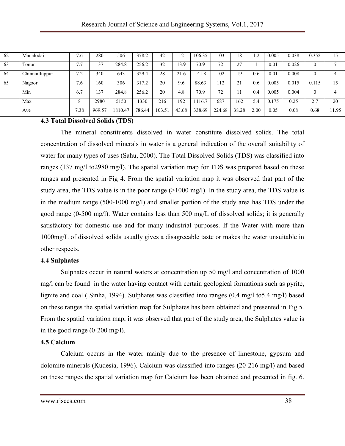| 62 | Manalodai      | $\cdot$ .6 | 280    | 506     | 378.2  | 42     | ി<br>. 4 | 106.35 | 103    | 18    | $\cdot$ .2 | 0.005 | 0.038 | 0.352 | 15   |
|----|----------------|------------|--------|---------|--------|--------|----------|--------|--------|-------|------------|-------|-------|-------|------|
| 63 | Tonur          | 77         | 137    | 284.8   | 256.2  | 32     | 13.9     | 70.9   | 72     | 27    |            | 0.01  | 0.026 |       |      |
| 64 | Chinnailluppur | 7.2        | 340    | 643     | 329.4  | 28     | 21.6     | 141.8  | 102    | 19    | 0.6        | 0.01  | 0.008 |       | 4    |
| 65 | Nagoor         | 7.6        | 160    | 306     | 317.2  | 20     | 9.6      | 88.63  | 112    | 21    | 0.6        | 0.005 | 0.015 | 0.115 | 15   |
|    | Min            | 6.7        | 137    | 284.8   | 256.2  | 20     | 4.8      | 70.9   | 72     |       | 0.4        | 0.005 | 0.004 | 0     | 4    |
|    | Max            | 8          | 2980   | 5150    | 1330   | 216    | 192      | 116.7  | 687    | 162   | 5.4        | 175   | 0.25  | 2.7   | 20   |
|    | Ave            | 7.38       | 969.57 | 1810.47 | 786.44 | 103.51 | 43.68    | 338.69 | 224.68 | 38.28 | 2.00       | 0.05  | 0.08  | 0.68  | 1.95 |

#### **4.3 Total Dissolved Solids (TDS)**

The mineral constituents dissolved in water constitute dissolved solids. The total concentration of dissolved minerals in water is a general indication of the overall suitability of water for many types of uses (Sahu, 2000). The Total Dissolved Solids (TDS) was classified into ranges (137 mg/l to2980 mg/l). The spatial variation map for TDS was prepared based on these ranges and presented in Fig 4. From the spatial variation map it was observed that part of the study area, the TDS value is in the poor range  $(>1000 \text{ mg/l})$ . In the study area, the TDS value is in the medium range (500-1000 mg/l) and smaller portion of the study area has TDS under the good range (0-500 mg/l). Water contains less than 500 mg/L of dissolved solids; it is generally satisfactory for domestic use and for many industrial purposes. If the Water with more than 1000mg/L of dissolved solids usually gives a disagreeable taste or makes the water unsuitable in other respects.

#### **4.4 Sulphates**

Sulphates occur in natural waters at concentration up 50 mg/l and concentration of 1000 mg/l can be found in the water having contact with certain geological formations such as pyrite, lignite and coal ( Sinha, 1994). Sulphates was classified into ranges (0.4 mg/l to5.4 mg/l) based on these ranges the spatial variation map for Sulphates has been obtained and presented in Fig 5. From the spatial variation map, it was observed that part of the study area, the Sulphates value is in the good range (0-200 mg/l).

#### **4.5 Calcium**

Calcium occurs in the water mainly due to the presence of limestone, gypsum and dolomite minerals (Kudesia, 1996). Calcium was classified into ranges (20-216 mg/l) and based on these ranges the spatial variation map for Calcium has been obtained and presented in fig. 6.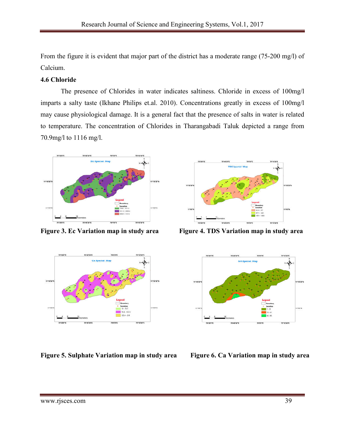From the figure it is evident that major part of the district has a moderate range (75-200 mg/l) of Calcium.

# **4.6 Chloride**

The presence of Chlorides in water indicates saltiness. Chloride in excess of 100mg/l imparts a salty taste (Ikhane Philips et.al. 2010). Concentrations greatly in excess of 100mg/l may cause physiological damage. It is a general fact that the presence of salts in water is related to temperature. The concentration of Chlorides in Tharangabadi Taluk depicted a range from 70.9mg/l to 1116 mg/l.





**Figure 5. Sulphate Variation map in study area Figure 6. Ca Variation map in study area**



**Figure 3. Ec Variation map in study area Figure 4. TDS Variation map in study area**

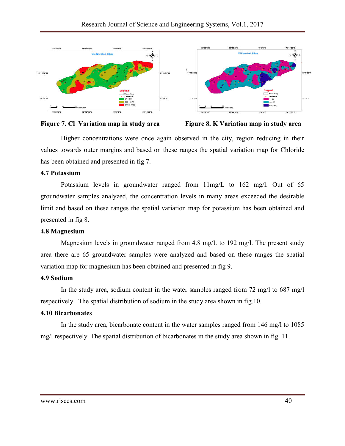





Higher concentrations were once again observed in the city, region reducing in their values towards outer margins and based on these ranges the spatial variation map for Chloride has been obtained and presented in fig 7.

#### **4.7 Potassium**

Potassium levels in groundwater ranged from 11mg/L to 162 mg/l. Out of 65 groundwater samples analyzed, the concentration levels in many areas exceeded the desirable limit and based on these ranges the spatial variation map for potassium has been obtained and presented in fig 8.

# **4.8 Magnesium**

Magnesium levels in groundwater ranged from 4.8 mg/L to 192 mg/l. The present study area there are 65 groundwater samples were analyzed and based on these ranges the spatial variation map for magnesium has been obtained and presented in fig 9.

# **4.9 Sodium**

In the study area, sodium content in the water samples ranged from 72 mg/l to 687 mg/l respectively. The spatial distribution of sodium in the study area shown in fig.10.

# **4.10 Bicarbonates**

In the study area, bicarbonate content in the water samples ranged from 146 mg/l to 1085 mg/l respectively. The spatial distribution of bicarbonates in the study area shown in fig. 11.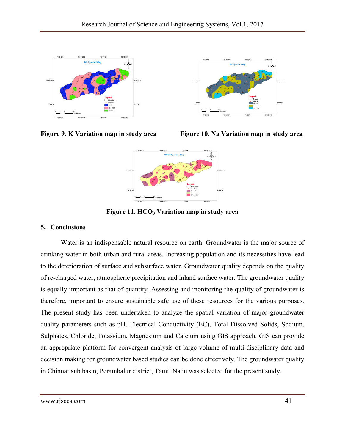







**Figure 11. HCO3 Variation map in study area**

# **5. Conclusions**

Water is an indispensable natural resource on earth. Groundwater is the major source of drinking water in both urban and rural areas. Increasing population and its necessities have lead to the deterioration of surface and subsurface water. Groundwater quality depends on the quality of re-charged water, atmospheric precipitation and inland surface water. The groundwater quality is equally important as that of quantity. Assessing and monitoring the quality of groundwater is therefore, important to ensure sustainable safe use of these resources for the various purposes. The present study has been undertaken to analyze the spatial variation of major groundwater quality parameters such as pH, Electrical Conductivity (EC), Total Dissolved Solids, Sodium, Sulphates, Chloride, Potassium, Magnesium and Calcium using GIS approach. GIS can provide an appropriate platform for convergent analysis of large volume of multi-disciplinary data and decision making for groundwater based studies can be done effectively. The groundwater quality in Chinnar sub basin, Perambalur district, Tamil Nadu was selected for the present study.